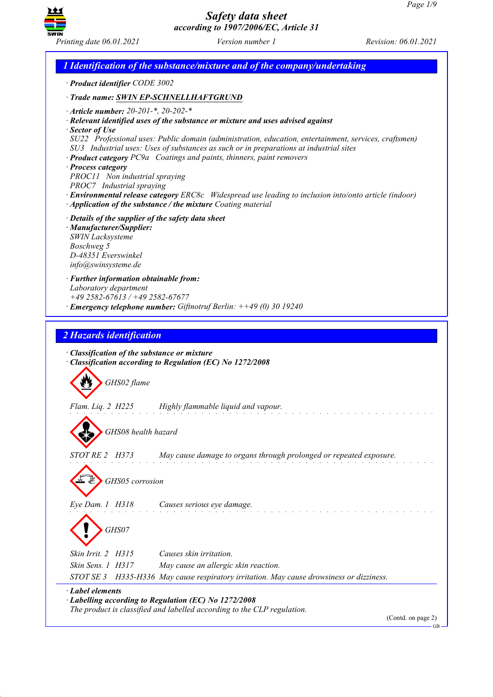

*1 Identification of the substance/mixture and of the company/undertaking · Product identifier CODE 3002 · Trade name: SWIN EP-SCHNELLHAFTGRUND · Article number: 20-201-\*, 20-202-\* · Relevant identified uses of the substance or mixture and uses advised against · Sector of Use SU22 Professional uses: Public domain (administration, education, entertainment, services, craftsmen) SU3 Industrial uses: Uses of substances as such or in preparations at industrial sites · Product category PC9a Coatings and paints, thinners, paint removers · Process category PROC11 Non industrial spraying PROC7 Industrial spraying · Environmental release category ERC8c Widespread use leading to inclusion into/onto article (indoor) · Application of the substance / the mixture Coating material · Details of the supplier of the safety data sheet · Manufacturer/Supplier: SWIN Lacksysteme Boschweg 5 D-48351 Everswinkel info@swinsysteme.de · Further information obtainable from: Laboratory department +49 2582-67613 / +49 2582-67677 · Emergency telephone number: Giftnotruf Berlin: ++49 (0) 30 19240 2 Hazards identification · Classification of the substance or mixture · Classification according to Regulation (EC) No 1272/2008 GHS02 flame Flam. Liq. 2 H225 Highly flammable liquid and vapour. GHS08 health hazard STOT RE 2 H373 May cause damage to organs through prolonged or repeated exposure. GHS05 corrosion Eye Dam. 1 H318 Causes serious eye damage. GHS07 Skin Irrit. 2 H315 Causes skin irritation. Skin Sens. 1 H317 May cause an allergic skin reaction. STOT SE 3 H335-H336 May cause respiratory irritation. May cause drowsiness or dizziness. · Label elements · Labelling according to Regulation (EC) No 1272/2008 The product is classified and labelled according to the CLP regulation.*

(Contd. on page 2)

GB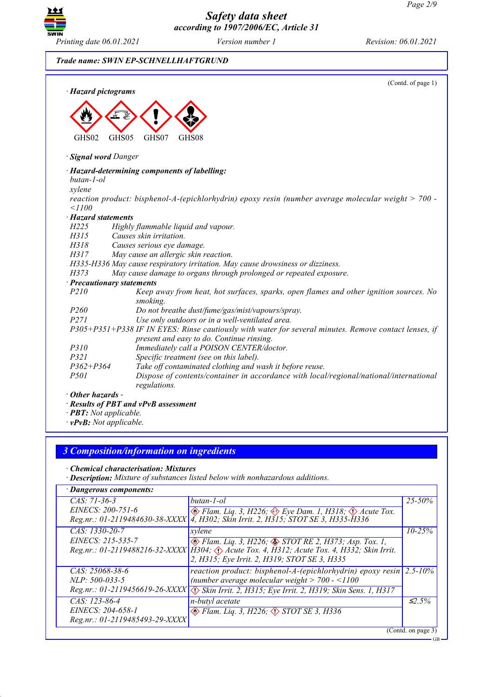

(Contd. of page 1)

## *Trade name: SWIN EP-SCHNELLHAFTGRUND*

*· Hazard pictograms*



#### *· Signal word Danger*

#### *· Hazard-determining components of labelling:*

*butan-1-ol*

*xylene*

*reaction product: bisphenol-A-(epichlorhydrin) epoxy resin (number average molecular weight > 700 - <1100*

#### *· Hazard statements*

*H225 Highly flammable liquid and vapour.*

*H315 Causes skin irritation. H318 Causes serious eye damage.*

*H317 May cause an allergic skin reaction.*

*H335-H336 May cause respiratory irritation. May cause drowsiness or dizziness.*

*H373 May cause damage to organs through prolonged or repeated exposure.*

*· Precautionary statements P210 Keep away from heat, hot surfaces, sparks, open flames and other ignition sources. No smoking. P260 Do not breathe dust/fume/gas/mist/vapours/spray. P271 Use only outdoors or in a well-ventilated area. P305+P351+P338 IF IN EYES: Rinse cautiously with water for several minutes. Remove contact lenses, if present and easy to do. Continue rinsing. P310 Immediately call a POISON CENTER/doctor. P321 Specific treatment (see on this label). P362+P364 Take off contaminated clothing and wash it before reuse.*

*P501 Dispose of contents/container in accordance with local/regional/national/international regulations.*

*· Other hazards -*

*· Results of PBT and vPvB assessment*

- *· PBT: Not applicable.*
- *· vPvB: Not applicable.*

# *3 Composition/information on ingredients*

*· Chemical characterisation: Mixtures*

*· Description: Mixture of substances listed below with nonhazardous additions.*

| · Dangerous components:        |                                                                                               |              |
|--------------------------------|-----------------------------------------------------------------------------------------------|--------------|
| $CAS: 71-36-3$                 | butan-1-ol                                                                                    | $25 - 50\%$  |
| EINECS: 200-751-6              | $\otimes$ Flam. Liq. 3, H226; $\otimes$ Eye Dam. 1, H318; $\otimes$ Acute Tox.                |              |
|                                | Reg.nr.: 01-2119484630-38-XXXX   4, H302; Skin Irrit. 2, H315; STOT SE 3, H335-H336           |              |
| CAS: 1330-20-7                 | xylene                                                                                        | $10 - 25\%$  |
| EINECS: 215-535-7              | $\otimes$ Flam. Liq. 3, H226; $\otimes$ STOT RE 2, H373; Asp. Tox. 1,                         |              |
|                                | Reg.nr.: 01-2119488216-32-XXXX   H304; <> Acute Tox. 4, H312; Acute Tox. 4, H332; Skin Irrit. |              |
|                                | 2, H315; Eye Irrit. 2, H319; STOT SE 3, H335                                                  |              |
| CAS: 25068-38-6                | reaction product: bisphenol-A-(epichlorhydrin) epoxy resin                                    | $2.5 - 10\%$ |
| <i>NLP</i> : 500-033-5         | (number average molecular weight $> 700 - 1100$                                               |              |
|                                | Reg.nr.: 01-2119456619-26-XXXX \. Skin Irrit. 2, H315; Eye Irrit. 2, H319; Skin Sens. 1, H317 |              |
| CAS: 123-86-4                  | n-butyl acetate                                                                               | $\leq 2.5\%$ |
| EINECS: 204-658-1              | $\diamond$ Flam. Liq. 3, H226; $\diamond$ STOT SE 3, H336                                     |              |
| Reg.nr.: 01-2119485493-29-XXXX |                                                                                               |              |
| (Cond. on page 3)              |                                                                                               |              |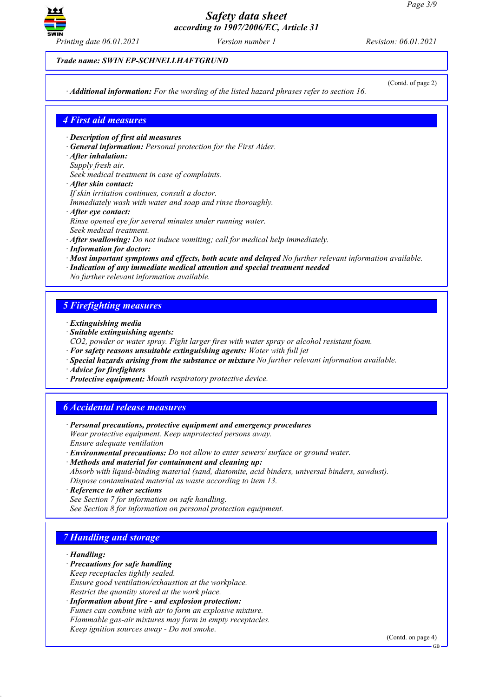

*Trade name: SWIN EP-SCHNELLHAFTGRUND*

*· Additional information: For the wording of the listed hazard phrases refer to section 16.*

(Contd. of page 2)

# *4 First aid measures*

- *· Description of first aid measures*
- *· General information: Personal protection for the First Aider.*
- *· After inhalation:*
- *Supply fresh air.*
- *Seek medical treatment in case of complaints.*
- *· After skin contact:*
- *If skin irritation continues, consult a doctor.*
- *Immediately wash with water and soap and rinse thoroughly.*
- *· After eye contact:*
- *Rinse opened eye for several minutes under running water.*
- *Seek medical treatment.*
- *· After swallowing: Do not induce vomiting; call for medical help immediately.*
- *· Information for doctor:*
- *· Most important symptoms and effects, both acute and delayed No further relevant information available.*
- *· Indication of any immediate medical attention and special treatment needed*
- *No further relevant information available.*

# *5 Firefighting measures*

- *· Extinguishing media*
- *· Suitable extinguishing agents:*
- *CO2, powder or water spray. Fight larger fires with water spray or alcohol resistant foam.*
- *· For safety reasons unsuitable extinguishing agents: Water with full jet*
- *· Special hazards arising from the substance or mixture No further relevant information available.*
- *· Advice for firefighters*
- *· Protective equipment: Mouth respiratory protective device.*

# *6 Accidental release measures*

- *· Personal precautions, protective equipment and emergency procedures Wear protective equipment. Keep unprotected persons away. Ensure adequate ventilation*
- *· Environmental precautions: Do not allow to enter sewers/ surface or ground water.*
- *· Methods and material for containment and cleaning up: Absorb with liquid-binding material (sand, diatomite, acid binders, universal binders, sawdust). Dispose contaminated material as waste according to item 13.*
- *· Reference to other sections*
- *See Section 7 for information on safe handling. See Section 8 for information on personal protection equipment.*

# *7 Handling and storage*

#### *· Handling:*

- *· Precautions for safe handling Keep receptacles tightly sealed. Ensure good ventilation/exhaustion at the workplace. Restrict the quantity stored at the work place.*
- *· Information about fire - and explosion protection: Fumes can combine with air to form an explosive mixture. Flammable gas-air mixtures may form in empty receptacles. Keep ignition sources away - Do not smoke.*

(Contd. on page 4)

GB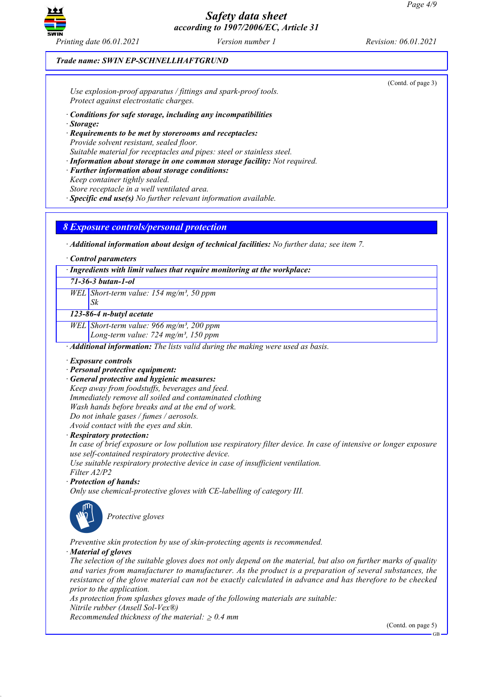

# *Trade name: SWIN EP-SCHNELLHAFTGRUND*

| Protect against electrostatic charges.<br>· Conditions for safe storage, including any incompatibilities<br>· Storage:<br>· Requirements to be met by storerooms and receptacles:<br>Provide solvent resistant, sealed floor.<br>Suitable material for receptacles and pipes: steel or stainless steel.<br>· Information about storage in one common storage facility: Not required.<br>· Further information about storage conditions:<br>Keep container tightly sealed.<br>Store receptacle in a well ventilated area.<br>$\cdot$ Specific end use(s) No further relevant information available.<br><b>8 Exposure controls/personal protection</b><br>$\cdot$ Additional information about design of technical facilities: No further data; see item 7.<br>Control parameters<br>· Ingredients with limit values that require monitoring at the workplace:<br>$71 - 36 - 3 but an - 1 - ol$<br>WEL Short-term value: $154$ mg/m <sup>3</sup> , 50 ppm<br>Sk<br>123-86-4 n-butyl acetate<br>WEL Short-term value: 966 mg/m <sup>3</sup> , 200 ppm<br>Long-term value: 724 mg/m <sup>3</sup> , 150 ppm<br>· Additional information: The lists valid during the making were used as basis.<br>· Exposure controls<br>· Personal protective equipment:<br>· General protective and hygienic measures:<br>Keep away from foodstuffs, beverages and feed.<br>Immediately remove all soiled and contaminated clothing<br>Wash hands before breaks and at the end of work.<br>Do not inhale gases / fumes / aerosols.<br>Avoid contact with the eyes and skin.<br>· Respiratory protection:<br>In case of brief exposure or low pollution use respiratory filter device. In case of intensive or longer exposure<br>use self-contained respiratory protective device.<br>Use suitable respiratory protective device in case of insufficient ventilation.<br>Filter A2/P2<br>· Protection of hands:<br>Only use chemical-protective gloves with CE-labelling of category III.<br>Protective gloves<br>Preventive skin protection by use of skin-protecting agents is recommended.<br>· Material of gloves<br>The selection of the suitable gloves does not only depend on the material, but also on further marks of quality<br>and varies from manufacturer to manufacturer. As the product is a preparation of several substances, the<br>resistance of the glove material can not be exactly calculated in advance and has therefore to be checked<br>prior to the application.<br>As protection from splashes gloves made of the following materials are suitable:<br>Nitrile rubber (Ansell Sol-Vex®)<br>Recommended thickness of the material: $\geq 0.4$ mm<br>(Contd. on page 5) | Use explosion-proof apparatus / fittings and spark-proof tools. | (Contd. of page 3) |
|-----------------------------------------------------------------------------------------------------------------------------------------------------------------------------------------------------------------------------------------------------------------------------------------------------------------------------------------------------------------------------------------------------------------------------------------------------------------------------------------------------------------------------------------------------------------------------------------------------------------------------------------------------------------------------------------------------------------------------------------------------------------------------------------------------------------------------------------------------------------------------------------------------------------------------------------------------------------------------------------------------------------------------------------------------------------------------------------------------------------------------------------------------------------------------------------------------------------------------------------------------------------------------------------------------------------------------------------------------------------------------------------------------------------------------------------------------------------------------------------------------------------------------------------------------------------------------------------------------------------------------------------------------------------------------------------------------------------------------------------------------------------------------------------------------------------------------------------------------------------------------------------------------------------------------------------------------------------------------------------------------------------------------------------------------------------------------------------------------------------------------------------------------------------------------------------------------------------------------------------------------------------------------------------------------------------------------------------------------------------------------------------------------------------------------------------------------------------------------------------------------------------------------------------------------------------------------------------------------------------------------------------------------------------------------------|-----------------------------------------------------------------|--------------------|
|                                                                                                                                                                                                                                                                                                                                                                                                                                                                                                                                                                                                                                                                                                                                                                                                                                                                                                                                                                                                                                                                                                                                                                                                                                                                                                                                                                                                                                                                                                                                                                                                                                                                                                                                                                                                                                                                                                                                                                                                                                                                                                                                                                                                                                                                                                                                                                                                                                                                                                                                                                                                                                                                                   |                                                                 |                    |
|                                                                                                                                                                                                                                                                                                                                                                                                                                                                                                                                                                                                                                                                                                                                                                                                                                                                                                                                                                                                                                                                                                                                                                                                                                                                                                                                                                                                                                                                                                                                                                                                                                                                                                                                                                                                                                                                                                                                                                                                                                                                                                                                                                                                                                                                                                                                                                                                                                                                                                                                                                                                                                                                                   |                                                                 |                    |
|                                                                                                                                                                                                                                                                                                                                                                                                                                                                                                                                                                                                                                                                                                                                                                                                                                                                                                                                                                                                                                                                                                                                                                                                                                                                                                                                                                                                                                                                                                                                                                                                                                                                                                                                                                                                                                                                                                                                                                                                                                                                                                                                                                                                                                                                                                                                                                                                                                                                                                                                                                                                                                                                                   |                                                                 |                    |
|                                                                                                                                                                                                                                                                                                                                                                                                                                                                                                                                                                                                                                                                                                                                                                                                                                                                                                                                                                                                                                                                                                                                                                                                                                                                                                                                                                                                                                                                                                                                                                                                                                                                                                                                                                                                                                                                                                                                                                                                                                                                                                                                                                                                                                                                                                                                                                                                                                                                                                                                                                                                                                                                                   |                                                                 |                    |
|                                                                                                                                                                                                                                                                                                                                                                                                                                                                                                                                                                                                                                                                                                                                                                                                                                                                                                                                                                                                                                                                                                                                                                                                                                                                                                                                                                                                                                                                                                                                                                                                                                                                                                                                                                                                                                                                                                                                                                                                                                                                                                                                                                                                                                                                                                                                                                                                                                                                                                                                                                                                                                                                                   |                                                                 |                    |
|                                                                                                                                                                                                                                                                                                                                                                                                                                                                                                                                                                                                                                                                                                                                                                                                                                                                                                                                                                                                                                                                                                                                                                                                                                                                                                                                                                                                                                                                                                                                                                                                                                                                                                                                                                                                                                                                                                                                                                                                                                                                                                                                                                                                                                                                                                                                                                                                                                                                                                                                                                                                                                                                                   |                                                                 |                    |
|                                                                                                                                                                                                                                                                                                                                                                                                                                                                                                                                                                                                                                                                                                                                                                                                                                                                                                                                                                                                                                                                                                                                                                                                                                                                                                                                                                                                                                                                                                                                                                                                                                                                                                                                                                                                                                                                                                                                                                                                                                                                                                                                                                                                                                                                                                                                                                                                                                                                                                                                                                                                                                                                                   |                                                                 |                    |
|                                                                                                                                                                                                                                                                                                                                                                                                                                                                                                                                                                                                                                                                                                                                                                                                                                                                                                                                                                                                                                                                                                                                                                                                                                                                                                                                                                                                                                                                                                                                                                                                                                                                                                                                                                                                                                                                                                                                                                                                                                                                                                                                                                                                                                                                                                                                                                                                                                                                                                                                                                                                                                                                                   |                                                                 |                    |
|                                                                                                                                                                                                                                                                                                                                                                                                                                                                                                                                                                                                                                                                                                                                                                                                                                                                                                                                                                                                                                                                                                                                                                                                                                                                                                                                                                                                                                                                                                                                                                                                                                                                                                                                                                                                                                                                                                                                                                                                                                                                                                                                                                                                                                                                                                                                                                                                                                                                                                                                                                                                                                                                                   |                                                                 |                    |
|                                                                                                                                                                                                                                                                                                                                                                                                                                                                                                                                                                                                                                                                                                                                                                                                                                                                                                                                                                                                                                                                                                                                                                                                                                                                                                                                                                                                                                                                                                                                                                                                                                                                                                                                                                                                                                                                                                                                                                                                                                                                                                                                                                                                                                                                                                                                                                                                                                                                                                                                                                                                                                                                                   |                                                                 |                    |
|                                                                                                                                                                                                                                                                                                                                                                                                                                                                                                                                                                                                                                                                                                                                                                                                                                                                                                                                                                                                                                                                                                                                                                                                                                                                                                                                                                                                                                                                                                                                                                                                                                                                                                                                                                                                                                                                                                                                                                                                                                                                                                                                                                                                                                                                                                                                                                                                                                                                                                                                                                                                                                                                                   |                                                                 |                    |
|                                                                                                                                                                                                                                                                                                                                                                                                                                                                                                                                                                                                                                                                                                                                                                                                                                                                                                                                                                                                                                                                                                                                                                                                                                                                                                                                                                                                                                                                                                                                                                                                                                                                                                                                                                                                                                                                                                                                                                                                                                                                                                                                                                                                                                                                                                                                                                                                                                                                                                                                                                                                                                                                                   |                                                                 |                    |
|                                                                                                                                                                                                                                                                                                                                                                                                                                                                                                                                                                                                                                                                                                                                                                                                                                                                                                                                                                                                                                                                                                                                                                                                                                                                                                                                                                                                                                                                                                                                                                                                                                                                                                                                                                                                                                                                                                                                                                                                                                                                                                                                                                                                                                                                                                                                                                                                                                                                                                                                                                                                                                                                                   |                                                                 |                    |
|                                                                                                                                                                                                                                                                                                                                                                                                                                                                                                                                                                                                                                                                                                                                                                                                                                                                                                                                                                                                                                                                                                                                                                                                                                                                                                                                                                                                                                                                                                                                                                                                                                                                                                                                                                                                                                                                                                                                                                                                                                                                                                                                                                                                                                                                                                                                                                                                                                                                                                                                                                                                                                                                                   |                                                                 |                    |
|                                                                                                                                                                                                                                                                                                                                                                                                                                                                                                                                                                                                                                                                                                                                                                                                                                                                                                                                                                                                                                                                                                                                                                                                                                                                                                                                                                                                                                                                                                                                                                                                                                                                                                                                                                                                                                                                                                                                                                                                                                                                                                                                                                                                                                                                                                                                                                                                                                                                                                                                                                                                                                                                                   |                                                                 |                    |
|                                                                                                                                                                                                                                                                                                                                                                                                                                                                                                                                                                                                                                                                                                                                                                                                                                                                                                                                                                                                                                                                                                                                                                                                                                                                                                                                                                                                                                                                                                                                                                                                                                                                                                                                                                                                                                                                                                                                                                                                                                                                                                                                                                                                                                                                                                                                                                                                                                                                                                                                                                                                                                                                                   |                                                                 |                    |
|                                                                                                                                                                                                                                                                                                                                                                                                                                                                                                                                                                                                                                                                                                                                                                                                                                                                                                                                                                                                                                                                                                                                                                                                                                                                                                                                                                                                                                                                                                                                                                                                                                                                                                                                                                                                                                                                                                                                                                                                                                                                                                                                                                                                                                                                                                                                                                                                                                                                                                                                                                                                                                                                                   |                                                                 |                    |
|                                                                                                                                                                                                                                                                                                                                                                                                                                                                                                                                                                                                                                                                                                                                                                                                                                                                                                                                                                                                                                                                                                                                                                                                                                                                                                                                                                                                                                                                                                                                                                                                                                                                                                                                                                                                                                                                                                                                                                                                                                                                                                                                                                                                                                                                                                                                                                                                                                                                                                                                                                                                                                                                                   |                                                                 |                    |
|                                                                                                                                                                                                                                                                                                                                                                                                                                                                                                                                                                                                                                                                                                                                                                                                                                                                                                                                                                                                                                                                                                                                                                                                                                                                                                                                                                                                                                                                                                                                                                                                                                                                                                                                                                                                                                                                                                                                                                                                                                                                                                                                                                                                                                                                                                                                                                                                                                                                                                                                                                                                                                                                                   |                                                                 |                    |
|                                                                                                                                                                                                                                                                                                                                                                                                                                                                                                                                                                                                                                                                                                                                                                                                                                                                                                                                                                                                                                                                                                                                                                                                                                                                                                                                                                                                                                                                                                                                                                                                                                                                                                                                                                                                                                                                                                                                                                                                                                                                                                                                                                                                                                                                                                                                                                                                                                                                                                                                                                                                                                                                                   |                                                                 |                    |
|                                                                                                                                                                                                                                                                                                                                                                                                                                                                                                                                                                                                                                                                                                                                                                                                                                                                                                                                                                                                                                                                                                                                                                                                                                                                                                                                                                                                                                                                                                                                                                                                                                                                                                                                                                                                                                                                                                                                                                                                                                                                                                                                                                                                                                                                                                                                                                                                                                                                                                                                                                                                                                                                                   |                                                                 |                    |
|                                                                                                                                                                                                                                                                                                                                                                                                                                                                                                                                                                                                                                                                                                                                                                                                                                                                                                                                                                                                                                                                                                                                                                                                                                                                                                                                                                                                                                                                                                                                                                                                                                                                                                                                                                                                                                                                                                                                                                                                                                                                                                                                                                                                                                                                                                                                                                                                                                                                                                                                                                                                                                                                                   |                                                                 |                    |
|                                                                                                                                                                                                                                                                                                                                                                                                                                                                                                                                                                                                                                                                                                                                                                                                                                                                                                                                                                                                                                                                                                                                                                                                                                                                                                                                                                                                                                                                                                                                                                                                                                                                                                                                                                                                                                                                                                                                                                                                                                                                                                                                                                                                                                                                                                                                                                                                                                                                                                                                                                                                                                                                                   |                                                                 |                    |
|                                                                                                                                                                                                                                                                                                                                                                                                                                                                                                                                                                                                                                                                                                                                                                                                                                                                                                                                                                                                                                                                                                                                                                                                                                                                                                                                                                                                                                                                                                                                                                                                                                                                                                                                                                                                                                                                                                                                                                                                                                                                                                                                                                                                                                                                                                                                                                                                                                                                                                                                                                                                                                                                                   |                                                                 |                    |
|                                                                                                                                                                                                                                                                                                                                                                                                                                                                                                                                                                                                                                                                                                                                                                                                                                                                                                                                                                                                                                                                                                                                                                                                                                                                                                                                                                                                                                                                                                                                                                                                                                                                                                                                                                                                                                                                                                                                                                                                                                                                                                                                                                                                                                                                                                                                                                                                                                                                                                                                                                                                                                                                                   |                                                                 |                    |
|                                                                                                                                                                                                                                                                                                                                                                                                                                                                                                                                                                                                                                                                                                                                                                                                                                                                                                                                                                                                                                                                                                                                                                                                                                                                                                                                                                                                                                                                                                                                                                                                                                                                                                                                                                                                                                                                                                                                                                                                                                                                                                                                                                                                                                                                                                                                                                                                                                                                                                                                                                                                                                                                                   |                                                                 |                    |
|                                                                                                                                                                                                                                                                                                                                                                                                                                                                                                                                                                                                                                                                                                                                                                                                                                                                                                                                                                                                                                                                                                                                                                                                                                                                                                                                                                                                                                                                                                                                                                                                                                                                                                                                                                                                                                                                                                                                                                                                                                                                                                                                                                                                                                                                                                                                                                                                                                                                                                                                                                                                                                                                                   |                                                                 |                    |
|                                                                                                                                                                                                                                                                                                                                                                                                                                                                                                                                                                                                                                                                                                                                                                                                                                                                                                                                                                                                                                                                                                                                                                                                                                                                                                                                                                                                                                                                                                                                                                                                                                                                                                                                                                                                                                                                                                                                                                                                                                                                                                                                                                                                                                                                                                                                                                                                                                                                                                                                                                                                                                                                                   |                                                                 |                    |
|                                                                                                                                                                                                                                                                                                                                                                                                                                                                                                                                                                                                                                                                                                                                                                                                                                                                                                                                                                                                                                                                                                                                                                                                                                                                                                                                                                                                                                                                                                                                                                                                                                                                                                                                                                                                                                                                                                                                                                                                                                                                                                                                                                                                                                                                                                                                                                                                                                                                                                                                                                                                                                                                                   |                                                                 |                    |
|                                                                                                                                                                                                                                                                                                                                                                                                                                                                                                                                                                                                                                                                                                                                                                                                                                                                                                                                                                                                                                                                                                                                                                                                                                                                                                                                                                                                                                                                                                                                                                                                                                                                                                                                                                                                                                                                                                                                                                                                                                                                                                                                                                                                                                                                                                                                                                                                                                                                                                                                                                                                                                                                                   |                                                                 |                    |
|                                                                                                                                                                                                                                                                                                                                                                                                                                                                                                                                                                                                                                                                                                                                                                                                                                                                                                                                                                                                                                                                                                                                                                                                                                                                                                                                                                                                                                                                                                                                                                                                                                                                                                                                                                                                                                                                                                                                                                                                                                                                                                                                                                                                                                                                                                                                                                                                                                                                                                                                                                                                                                                                                   |                                                                 |                    |
|                                                                                                                                                                                                                                                                                                                                                                                                                                                                                                                                                                                                                                                                                                                                                                                                                                                                                                                                                                                                                                                                                                                                                                                                                                                                                                                                                                                                                                                                                                                                                                                                                                                                                                                                                                                                                                                                                                                                                                                                                                                                                                                                                                                                                                                                                                                                                                                                                                                                                                                                                                                                                                                                                   |                                                                 |                    |
|                                                                                                                                                                                                                                                                                                                                                                                                                                                                                                                                                                                                                                                                                                                                                                                                                                                                                                                                                                                                                                                                                                                                                                                                                                                                                                                                                                                                                                                                                                                                                                                                                                                                                                                                                                                                                                                                                                                                                                                                                                                                                                                                                                                                                                                                                                                                                                                                                                                                                                                                                                                                                                                                                   |                                                                 |                    |
|                                                                                                                                                                                                                                                                                                                                                                                                                                                                                                                                                                                                                                                                                                                                                                                                                                                                                                                                                                                                                                                                                                                                                                                                                                                                                                                                                                                                                                                                                                                                                                                                                                                                                                                                                                                                                                                                                                                                                                                                                                                                                                                                                                                                                                                                                                                                                                                                                                                                                                                                                                                                                                                                                   |                                                                 |                    |
|                                                                                                                                                                                                                                                                                                                                                                                                                                                                                                                                                                                                                                                                                                                                                                                                                                                                                                                                                                                                                                                                                                                                                                                                                                                                                                                                                                                                                                                                                                                                                                                                                                                                                                                                                                                                                                                                                                                                                                                                                                                                                                                                                                                                                                                                                                                                                                                                                                                                                                                                                                                                                                                                                   |                                                                 |                    |
|                                                                                                                                                                                                                                                                                                                                                                                                                                                                                                                                                                                                                                                                                                                                                                                                                                                                                                                                                                                                                                                                                                                                                                                                                                                                                                                                                                                                                                                                                                                                                                                                                                                                                                                                                                                                                                                                                                                                                                                                                                                                                                                                                                                                                                                                                                                                                                                                                                                                                                                                                                                                                                                                                   |                                                                 |                    |
|                                                                                                                                                                                                                                                                                                                                                                                                                                                                                                                                                                                                                                                                                                                                                                                                                                                                                                                                                                                                                                                                                                                                                                                                                                                                                                                                                                                                                                                                                                                                                                                                                                                                                                                                                                                                                                                                                                                                                                                                                                                                                                                                                                                                                                                                                                                                                                                                                                                                                                                                                                                                                                                                                   |                                                                 |                    |
|                                                                                                                                                                                                                                                                                                                                                                                                                                                                                                                                                                                                                                                                                                                                                                                                                                                                                                                                                                                                                                                                                                                                                                                                                                                                                                                                                                                                                                                                                                                                                                                                                                                                                                                                                                                                                                                                                                                                                                                                                                                                                                                                                                                                                                                                                                                                                                                                                                                                                                                                                                                                                                                                                   |                                                                 |                    |
|                                                                                                                                                                                                                                                                                                                                                                                                                                                                                                                                                                                                                                                                                                                                                                                                                                                                                                                                                                                                                                                                                                                                                                                                                                                                                                                                                                                                                                                                                                                                                                                                                                                                                                                                                                                                                                                                                                                                                                                                                                                                                                                                                                                                                                                                                                                                                                                                                                                                                                                                                                                                                                                                                   |                                                                 | $GB -$             |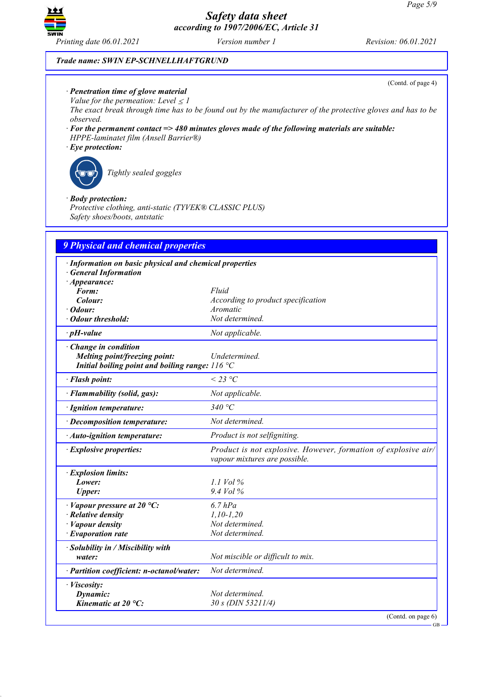

(Contd. of page 4)

## *Trade name: SWIN EP-SCHNELLHAFTGRUND*

- *· Penetration time of glove material*
- *Value for the permeation: Level*  $\leq$  *l*

The exact break through time has to be found out by the manufacturer of the protective gloves and has to be *observed.*

- *· For the permanent contact => 480 minutes gloves made of the following materials are suitable: HPPE-laminatet film (Ansell Barrier®)*
- *· Eye protection:*



*Tightly sealed goggles*

#### *· Body protection:*

*Protective clothing, anti-static (TYVEK® CLASSIC PLUS) Safety shoes/boots, antstatic*

| 9 Physical and chemical properties                                                                                 |                                                                                                 |  |
|--------------------------------------------------------------------------------------------------------------------|-------------------------------------------------------------------------------------------------|--|
| · Information on basic physical and chemical properties<br><b>General Information</b>                              |                                                                                                 |  |
| $\cdot$ Appearance:<br>Form:                                                                                       | Fluid                                                                                           |  |
| Colour:                                                                                                            | According to product specification                                                              |  |
| · Odour:                                                                                                           | Aromatic                                                                                        |  |
| · Odour threshold:                                                                                                 | Not determined.                                                                                 |  |
| $\cdot$ pH-value                                                                                                   | Not applicable.                                                                                 |  |
| · Change in condition<br>Melting point/freezing point:<br>Initial boiling point and boiling range: $116^{\circ}$ C | Undetermined.                                                                                   |  |
| · Flash point:                                                                                                     | $\leq$ 23 °C                                                                                    |  |
| · Flammability (solid, gas):                                                                                       | Not applicable.                                                                                 |  |
| · Ignition temperature:                                                                                            | 340 °C                                                                                          |  |
| · Decomposition temperature:                                                                                       | Not determined.                                                                                 |  |
| · Auto-ignition temperature:                                                                                       | Product is not selfigniting.                                                                    |  |
| · Explosive properties:                                                                                            | Product is not explosive. However, formation of explosive air/<br>vapour mixtures are possible. |  |
| · Explosion limits:                                                                                                |                                                                                                 |  |
| Lower:                                                                                                             | $1.1$ Vol $\%$                                                                                  |  |
| <b>Upper:</b>                                                                                                      | 9.4 Vol %                                                                                       |  |
| $\cdot$ Vapour pressure at 20 °C:                                                                                  | $6.7$ $hPa$                                                                                     |  |
| $\cdot$ Relative density                                                                                           | $1, 10 - 1, 20$                                                                                 |  |
| · Vapour density                                                                                                   | Not determined.                                                                                 |  |
| $\cdot$ Evaporation rate                                                                                           | Not determined.                                                                                 |  |
| · Solubility in / Miscibility with                                                                                 |                                                                                                 |  |
| water:                                                                                                             | Not miscible or difficult to mix.                                                               |  |
| · Partition coefficient: n-octanol/water:                                                                          | Not determined.                                                                                 |  |
| · Viscosity:                                                                                                       |                                                                                                 |  |
| Dynamic:                                                                                                           | Not determined.                                                                                 |  |
| Kinematic at $20^{\circ}$ C:                                                                                       | 30 s (DIN 53211/4)                                                                              |  |
|                                                                                                                    | (Contd. on page $6$ )                                                                           |  |

GB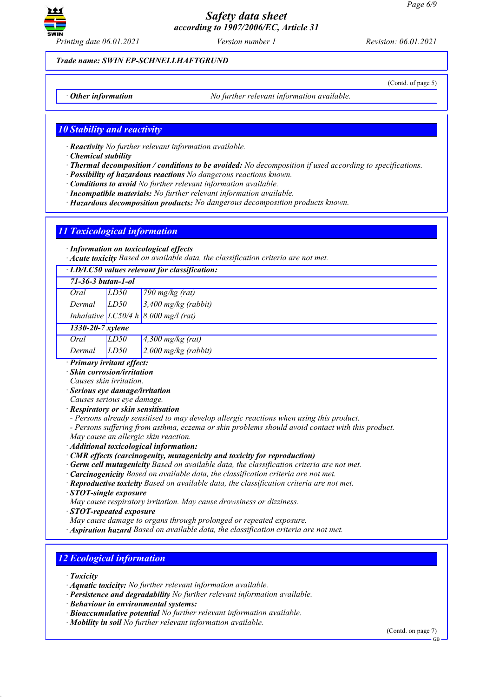

*Printing date 06.01.2021 Version number 1 Revision: 06.01.2021*

(Contd. of page 5)

*Trade name: SWIN EP-SCHNELLHAFTGRUND*

*· Other information No further relevant information available.*

## *10 Stability and reactivity*

*· Reactivity No further relevant information available.*

*· Chemical stability*

- *· Thermal decomposition / conditions to be avoided: No decomposition if used according to specifications.*
- *· Possibility of hazardous reactions No dangerous reactions known.*
- *· Conditions to avoid No further relevant information available.*
- *· Incompatible materials: No further relevant information available.*
- *· Hazardous decomposition products: No dangerous decomposition products known.*

# *11 Toxicological information*

*· Information on toxicological effects*

*· Acute toxicity Based on available data, the classification criteria are not met.*

| · LD/LC50 values relevant for classification:                                                    |      |                                                                                         |
|--------------------------------------------------------------------------------------------------|------|-----------------------------------------------------------------------------------------|
| $71 - 36 - 3 but an - 1 - ol$                                                                    |      |                                                                                         |
| Oral                                                                                             | LD50 | 790 $mg/kg$ (rat)                                                                       |
| Dermal                                                                                           | LD50 | $3,400$ mg/kg (rabbit)                                                                  |
|                                                                                                  |      | Inhalative LC50/4 h $8,000$ mg/l (rat)                                                  |
| 1330-20-7 xylene                                                                                 |      |                                                                                         |
| Oral                                                                                             | LD50 | $4,300$ mg/kg (rat)                                                                     |
| Dermal                                                                                           | LD50 | $2,000$ mg/kg (rabbit)                                                                  |
| · Primary irritant effect:                                                                       |      |                                                                                         |
| · Skin corrosion/irritation                                                                      |      |                                                                                         |
| Causes skin irritation.                                                                          |      |                                                                                         |
| · Serious eye damage/irritation                                                                  |      |                                                                                         |
| Causes serious eye damage.                                                                       |      |                                                                                         |
| · Respiratory or skin sensitisation                                                              |      |                                                                                         |
|                                                                                                  |      | - Persons already sensitised to may develop allergic reactions when using this product. |
| - Persons suffering from asthma, eczema or skin problems should avoid contact with this product. |      |                                                                                         |
| May cause an allergic skin reaction.                                                             |      |                                                                                         |
| · Additional toxicological information:                                                          |      |                                                                                         |
| $\cdot$ CMR effects (carcinogenity, mutagenicity and toxicity for reproduction)                  |      |                                                                                         |
| · Germ cell mutagenicity Based on available data, the classification criteria are not met.       |      |                                                                                         |
| · Carcinogenicity Based on available data, the classification criteria are not met.              |      |                                                                                         |
| · Reproductive toxicity Based on available data, the classification criteria are not met.        |      |                                                                                         |
| · STOT-single exposure                                                                           |      |                                                                                         |
| May cause respiratory irritation. May cause drowsiness or dizziness.                             |      |                                                                                         |
| $\cdot$ STOT-repeated exposure                                                                   |      |                                                                                         |
| May cause damage to organs through prolonged or repeated exposure.                               |      |                                                                                         |
| · Aspiration hazard Based on available data, the classification criteria are not met.            |      |                                                                                         |
|                                                                                                  |      |                                                                                         |
|                                                                                                  |      |                                                                                         |
| <b>12 Ecological information</b>                                                                 |      |                                                                                         |
|                                                                                                  |      |                                                                                         |

*· Toxicity*

- *· Aquatic toxicity: No further relevant information available.*
- *· Persistence and degradability No further relevant information available.*
- *· Behaviour in environmental systems:*
- *· Bioaccumulative potential No further relevant information available.*
- *· Mobility in soil No further relevant information available.*

(Contd. on page 7)

GB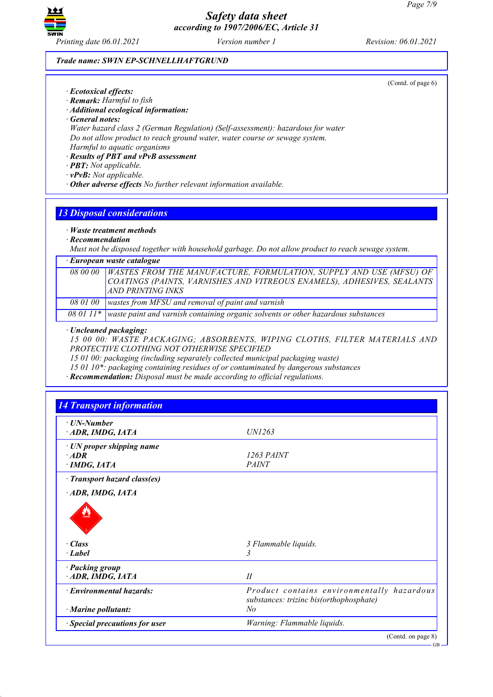

(Contd. of page 6)

#### *Trade name: SWIN EP-SCHNELLHAFTGRUND*

- *· Ecotoxical effects:*
- *· Remark: Harmful to fish*
- *· Additional ecological information:*
- *· General notes:*

*Water hazard class 2 (German Regulation) (Self-assessment): hazardous for water Do not allow product to reach ground water, water course or sewage system. Harmful to aquatic organisms*

# *· Results of PBT and vPvB assessment*

- *· PBT: Not applicable.*
- *· vPvB: Not applicable.*
- *· Other adverse effects No further relevant information available.*

# *13 Disposal considerations*

# *· Waste treatment methods*

*· Recommendation*

*Must not be disposed together with household garbage. Do not allow product to reach sewage system.*

#### *· European waste catalogue*

|  | 08 00 00 WASTES FROM THE MANUFACTURE, FORMULATION, SUPPLY AND USE (MFSU) OF COATINGS (PAINTS, VARNISHES AND VITREOUS ENAMELS), ADHESIVES, SEALANTS<br>AND PRINTING INKS |
|--|-------------------------------------------------------------------------------------------------------------------------------------------------------------------------|
|  | 08 01 00   wastes from MFSU and removal of paint and varnish                                                                                                            |

*08 01 11\* waste paint and varnish containing organic solvents or other hazardous substances*

## *· Uncleaned packaging:*

*15 00 00: WASTE PACKAGING; ABSORBENTS, WIPING CLOTHS, FILTER MATERIALS AND PROTECTIVE CLOTHING NOT OTHERWISE SPECIFIED*

*15 01 00: packaging (including separately collected municipal packaging waste)*

*15 01 10\*: packaging containing residues of or contaminated by dangerous substances*

*· Recommendation: Disposal must be made according to official regulations.*

| $\cdot$ UN-Number                  |                                                                                       |
|------------------------------------|---------------------------------------------------------------------------------------|
| ADR, IMDG, IATA                    | <i>UN1263</i>                                                                         |
| $\cdot$ UN proper shipping name    |                                                                                       |
| $\cdot$ ADR                        | 1263 PAINT                                                                            |
| · IMDG, IATA                       | <b>PAINT</b>                                                                          |
| · Transport hazard class(es)       |                                                                                       |
| ADR, IMDG, IATA                    |                                                                                       |
| $\cdot$ Class                      | 3 Flammable liquids.                                                                  |
| $\cdot$ Label                      | 3                                                                                     |
|                                    |                                                                                       |
| · Packing group<br>ADR, IMDG, IATA | II                                                                                    |
|                                    |                                                                                       |
| · Environmental hazards:           | Product contains environmentally hazardous<br>substances: trizinc bis(orthophosphate) |
|                                    | No                                                                                    |
| $\cdot$ Marine pollutant:          |                                                                                       |

GB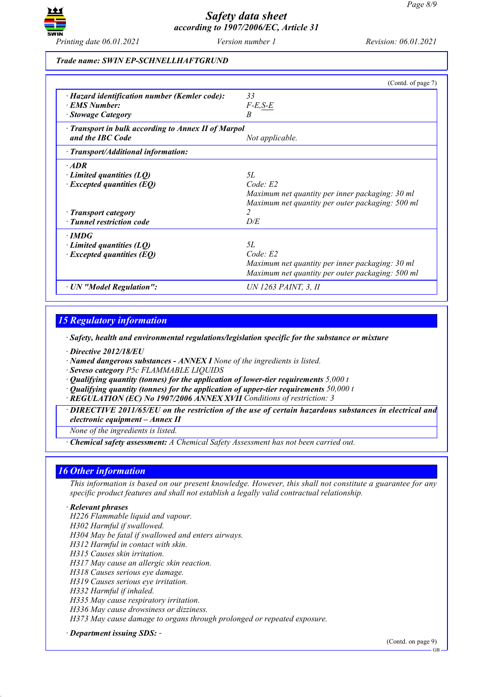

## *Trade name: SWIN EP-SCHNELLHAFTGRUND*

|                                                                                                                                            | (Contd. of page 7)                                                                                                                             |
|--------------------------------------------------------------------------------------------------------------------------------------------|------------------------------------------------------------------------------------------------------------------------------------------------|
| · Hazard identification number (Kemler code):<br>· EMS Number:<br>· Stowage Category                                                       | 33<br>$F-E,S-E$<br>B                                                                                                                           |
| Transport in bulk according to Annex II of Marpol<br>and the IBC Code                                                                      | Not applicable.                                                                                                                                |
| $\cdot$ Transport/Additional information:                                                                                                  |                                                                                                                                                |
| $·$ <i>ADR</i><br>$\cdot$ Limited quantities (LQ)<br>$\cdot$ Excepted quantities (EQ)<br>· Transport category<br>· Tunnel restriction code | 5L<br>Code: E2<br>Maximum net quantity per inner packaging: 30 ml<br>Maximum net quantity per outer packaging: 500 ml<br>$\overline{c}$<br>D/E |
| $\cdot$ IMDG<br>$\cdot$ Limited quantities (LQ)<br>$\cdot$ Excepted quantities (EQ)                                                        | 5L<br>Code: E2<br>Maximum net quantity per inner packaging: 30 ml<br>Maximum net quantity per outer packaging: 500 ml                          |
| · UN "Model Regulation":                                                                                                                   | UN 1263 PAINT, 3, II                                                                                                                           |

# *15 Regulatory information*

*· Safety, health and environmental regulations/legislation specific for the substance or mixture*

*· Directive 2012/18/EU*

*· Named dangerous substances - ANNEX I None of the ingredients is listed.*

*· Seveso category P5c FLAMMABLE LIQUIDS*

*· Qualifying quantity (tonnes) for the application of lower-tier requirements 5,000 t*

*· Qualifying quantity (tonnes) for the application of upper-tier requirements 50,000 t*

*· REGULATION (EC) No 1907/2006 ANNEX XVII Conditions of restriction: 3*

*· DIRECTIVE 2011/65/EU on the restriction of the use of certain hazardous substances in electrical and electronic equipment – Annex II*

*None of the ingredients is listed.*

*· Chemical safety assessment: A Chemical Safety Assessment has not been carried out.*

## *16 Other information*

This information is based on our present knowledge. However, this shall not constitute a guarantee for any *specific product features and shall not establish a legally valid contractual relationship.*

#### *· Relevant phrases*

*H226 Flammable liquid and vapour. H302 Harmful if swallowed. H304 May be fatal if swallowed and enters airways. H312 Harmful in contact with skin. H315 Causes skin irritation. H317 May cause an allergic skin reaction. H318 Causes serious eye damage. H319 Causes serious eye irritation. H332 Harmful if inhaled. H335 May cause respiratory irritation. H336 May cause drowsiness or dizziness. H373 May cause damage to organs through prolonged or repeated exposure.*

*· Department issuing SDS: -*

(Contd. on page 9)

GB